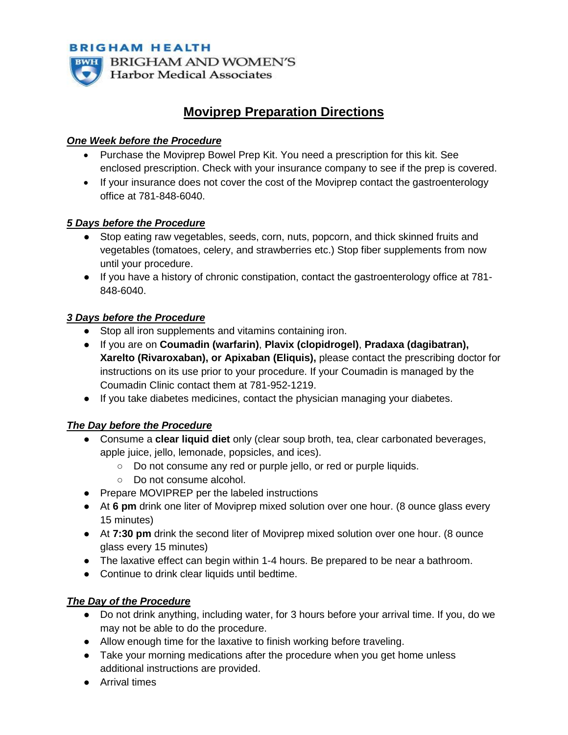**BRIGHAM HEALTH BRIGHAM AND WOMEN'S Harbor Medical Associates** 

# **Moviprep Preparation Directions**

#### *One Week before the Procedure*

- Purchase the Moviprep Bowel Prep Kit. You need a prescription for this kit. See enclosed prescription. Check with your insurance company to see if the prep is covered.
- If your insurance does not cover the cost of the Moviprep contact the gastroenterology office at 781-848-6040.

#### *5 Days before the Procedure*

- Stop eating raw vegetables, seeds, corn, nuts, popcorn, and thick skinned fruits and vegetables (tomatoes, celery, and strawberries etc.) Stop fiber supplements from now until your procedure.
- If you have a history of chronic constipation, contact the gastroenterology office at 781- 848-6040.

## *3 Days before the Procedure*

- Stop all iron supplements and vitamins containing iron.
- If you are on **Coumadin (warfarin)**, **Plavix (clopidrogel)**, **Pradaxa (dagibatran), Xarelto (Rivaroxaban), or Apixaban (Eliquis),** please contact the prescribing doctor for instructions on its use prior to your procedure. If your Coumadin is managed by the Coumadin Clinic contact them at 781-952-1219.
- If you take diabetes medicines, contact the physician managing your diabetes.

## *The Day before the Procedure*

- Consume a **clear liquid diet** only (clear soup broth, tea, clear carbonated beverages, apple juice, jello, lemonade, popsicles, and ices).
	- Do not consume any red or purple jello, or red or purple liquids.
	- Do not consume alcohol.
- Prepare MOVIPREP per the labeled instructions
- At 6 **pm** drink one liter of Moviprep mixed solution over one hour. (8 ounce glass every 15 minutes)
- At **7:30 pm** drink the second liter of Moviprep mixed solution over one hour. (8 ounce glass every 15 minutes)
- The laxative effect can begin within 1-4 hours. Be prepared to be near a bathroom.
- Continue to drink clear liquids until bedtime.

## *The Day of the Procedure*

- Do not drink anything, including water, for 3 hours before your arrival time. If you, do we may not be able to do the procedure.
- Allow enough time for the laxative to finish working before traveling.
- Take your morning medications after the procedure when you get home unless additional instructions are provided.
- Arrival times